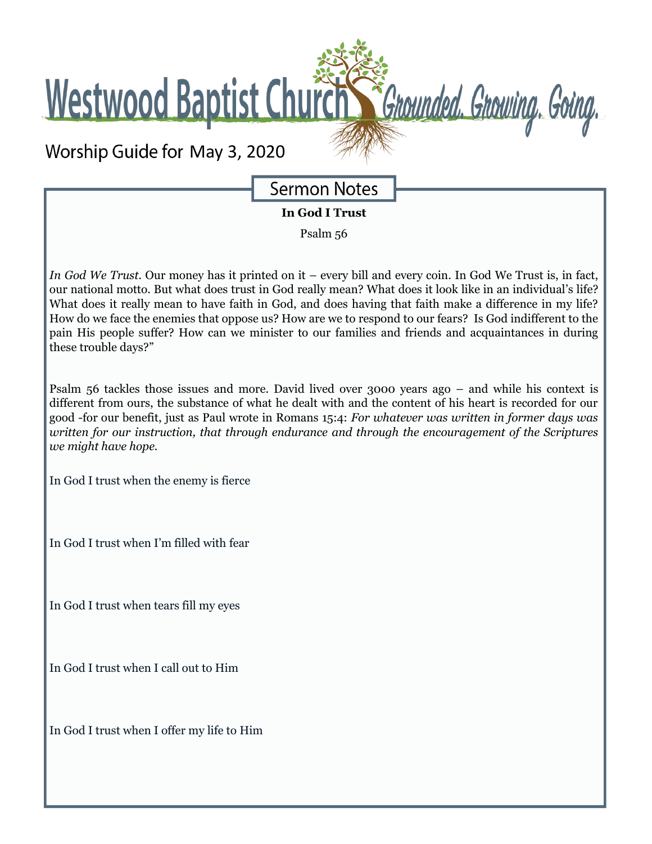Westwood Baptist Church St Grounded. Growing. Going.

Worship Guide for May 3, 2020

**Sermon Notes** 

**In God I Trust**

Psalm 56

*In God We Trust.* Our money has it printed on it – every bill and every coin. In God We Trust is, in fact, our national motto. But what does trust in God really mean? What does it look like in an individual's life? What does it really mean to have faith in God, and does having that faith make a difference in my life? How do we face the enemies that oppose us? How are we to respond to our fears? Is God indifferent to the pain His people suffer? How can we minister to our families and friends and acquaintances in during these trouble days?"

Psalm 56 tackles those issues and more. David lived over 3000 years ago – and while his context is different from ours, the substance of what he dealt with and the content of his heart is recorded for our good -for our benefit, just as Paul wrote in Romans 15:4: *For whatever was written in former days was written for our instruction, that through endurance and through the encouragement of the Scriptures we might have hope.*

In God I trust when the enemy is fierce

In God I trust when I'm filled with fear

In God I trust when tears fill my eyes

In God I trust when I call out to Him

In God I trust when I offer my life to Him